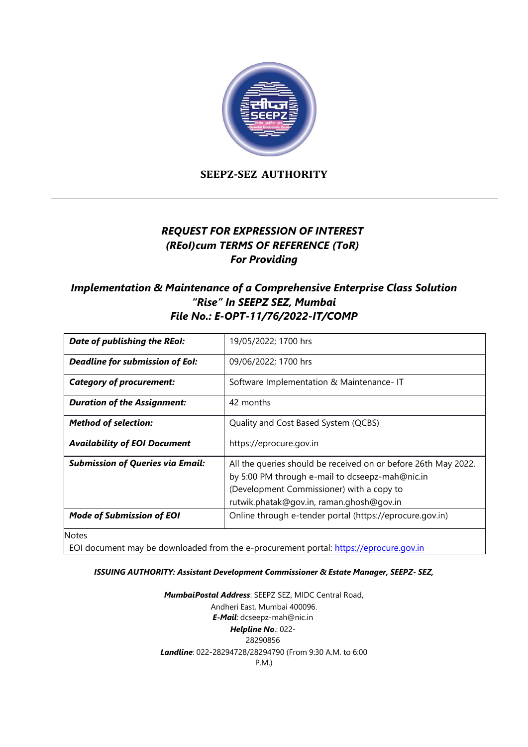

**SEEPZ-SEZ AUTHORITY**

# *REQUEST FOR EXPRESSION OF INTEREST (REoI)cum TERMS OF REFERENCE (ToR) For Providing*

# *Implementation & Maintenance of a Comprehensive Enterprise Class Solution "Rise" In SEEPZ SEZ, Mumbai File No.: [E-OPT-11/76/2022-IT/COMP](https://eoffice.seepz.co.in/eFile/?x=n54nInlY-C1dTWSnHBeBcVHm*lzfrqYX)*

| Date of publishing the REoI:            | 19/05/2022; 1700 hrs                                                                                                                                                                                       |
|-----------------------------------------|------------------------------------------------------------------------------------------------------------------------------------------------------------------------------------------------------------|
| Deadline for submission of EoI:         | 09/06/2022; 1700 hrs                                                                                                                                                                                       |
| <b>Category of procurement:</b>         | Software Implementation & Maintenance- IT                                                                                                                                                                  |
| <b>Duration of the Assignment:</b>      | 42 months                                                                                                                                                                                                  |
| <b>Method of selection:</b>             | Quality and Cost Based System (QCBS)                                                                                                                                                                       |
| <b>Availability of EOI Document</b>     | https://eprocure.gov.in                                                                                                                                                                                    |
| <b>Submission of Queries via Email:</b> | All the queries should be received on or before 26th May 2022,<br>by 5:00 PM through e-mail to dcseepz-mah@nic.in<br>(Development Commissioner) with a copy to<br>rutwik.phatak@gov.in, raman.ghosh@gov.in |
| <b>Mode of Submission of EOI</b>        | Online through e-tender portal (https://eprocure.gov.in)                                                                                                                                                   |
| $N = +$                                 |                                                                                                                                                                                                            |

Notes

EOI document may be downloaded from the e-procurement portal: [https://eprocure.gov.in](https://eprocure.gov.in/)

#### *ISSUING AUTHORITY: Assistant Development Commissioner & Estate Manager, SEEPZ- SEZ,*

*MumbaiPostal Address*: SEEPZ SEZ, MIDC Central Road, Andheri East, Mumbai 400096. *E-Mail*: [dcseepz-mah@nic.in](mailto:dcseepz-mah@nic.in) *Helpline No*.: 022- 28290856 *Landline*: 022-28294728/28294790 (From 9:30 A.M. to 6:00 P.M.)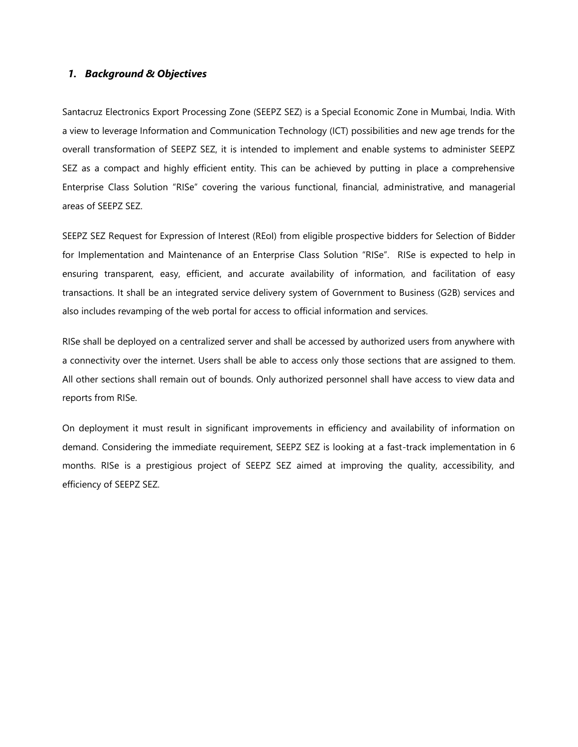#### *1. Background & Objectives*

Santacruz Electronics Export Processing Zone (SEEPZ SEZ) is a Special Economic Zone in Mumbai, India. With a view to leverage Information and Communication Technology (ICT) possibilities and new age trends for the overall transformation of SEEPZ SEZ, it is intended to implement and enable systems to administer SEEPZ SEZ as a compact and highly efficient entity. This can be achieved by putting in place a comprehensive Enterprise Class Solution "RISe" covering the various functional, financial, administrative, and managerial areas of SEEPZ SEZ.

SEEPZ SEZ Request for Expression of Interest (REoI) from eligible prospective bidders for Selection of Bidder for Implementation and Maintenance of an Enterprise Class Solution "RISe". RISe is expected to help in ensuring transparent, easy, efficient, and accurate availability of information, and facilitation of easy transactions. It shall be an integrated service delivery system of Government to Business (G2B) services and also includes revamping of the web portal for access to official information and services.

RISe shall be deployed on a centralized server and shall be accessed by authorized users from anywhere with a connectivity over the internet. Users shall be able to access only those sections that are assigned to them. All other sections shall remain out of bounds. Only authorized personnel shall have access to view data and reports from RISe.

On deployment it must result in significant improvements in efficiency and availability of information on demand. Considering the immediate requirement, SEEPZ SEZ is looking at a fast-track implementation in 6 months. RISe is a prestigious project of SEEPZ SEZ aimed at improving the quality, accessibility, and efficiency of SEEPZ SEZ.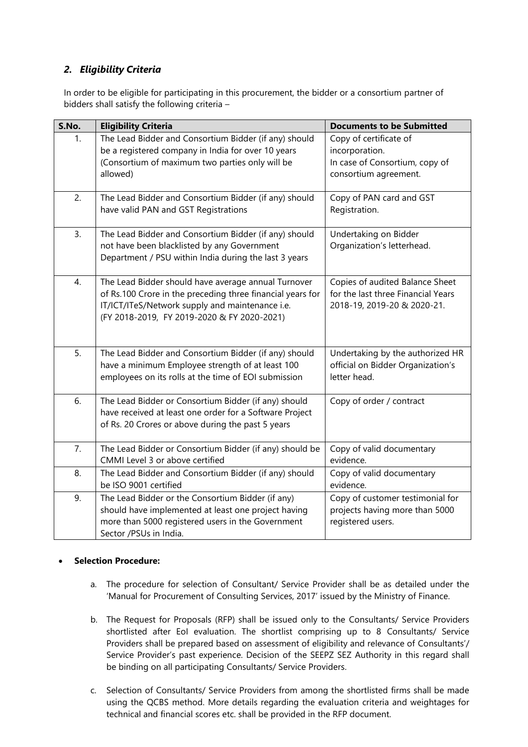## *2. Eligibility Criteria*

In order to be eligible for participating in this procurement, the bidder or a consortium partner of bidders shall satisfy the following criteria –

| S.No. | <b>Eligibility Criteria</b>                                                                                                                                                                                         | <b>Documents to be Submitted</b>                                                                     |
|-------|---------------------------------------------------------------------------------------------------------------------------------------------------------------------------------------------------------------------|------------------------------------------------------------------------------------------------------|
| 1.    | The Lead Bidder and Consortium Bidder (if any) should<br>be a registered company in India for over 10 years<br>(Consortium of maximum two parties only will be<br>allowed)                                          | Copy of certificate of<br>incorporation.<br>In case of Consortium, copy of<br>consortium agreement.  |
| 2.    | The Lead Bidder and Consortium Bidder (if any) should<br>have valid PAN and GST Registrations                                                                                                                       | Copy of PAN card and GST<br>Registration.                                                            |
| 3.    | The Lead Bidder and Consortium Bidder (if any) should<br>not have been blacklisted by any Government<br>Department / PSU within India during the last 3 years                                                       | Undertaking on Bidder<br>Organization's letterhead.                                                  |
| 4.    | The Lead Bidder should have average annual Turnover<br>of Rs.100 Crore in the preceding three financial years for<br>IT/ICT/ITeS/Network supply and maintenance i.e.<br>(FY 2018-2019, FY 2019-2020 & FY 2020-2021) | Copies of audited Balance Sheet<br>for the last three Financial Years<br>2018-19, 2019-20 & 2020-21. |
| 5.    | The Lead Bidder and Consortium Bidder (if any) should<br>have a minimum Employee strength of at least 100<br>employees on its rolls at the time of EOI submission                                                   | Undertaking by the authorized HR<br>official on Bidder Organization's<br>letter head.                |
| 6.    | The Lead Bidder or Consortium Bidder (if any) should<br>have received at least one order for a Software Project<br>of Rs. 20 Crores or above during the past 5 years                                                | Copy of order / contract                                                                             |
| 7.    | The Lead Bidder or Consortium Bidder (if any) should be<br>CMMI Level 3 or above certified                                                                                                                          | Copy of valid documentary<br>evidence.                                                               |
| 8.    | The Lead Bidder and Consortium Bidder (if any) should<br>be ISO 9001 certified                                                                                                                                      | Copy of valid documentary<br>evidence.                                                               |
| 9.    | The Lead Bidder or the Consortium Bidder (if any)<br>should have implemented at least one project having<br>more than 5000 registered users in the Government<br>Sector /PSUs in India.                             | Copy of customer testimonial for<br>projects having more than 5000<br>registered users.              |

### **Selection Procedure:**

- a. The procedure for selection of Consultant/ Service Provider shall be as detailed under the 'Manual for Procurement of Consulting Services, 2017' issued by the Ministry of Finance.
- b. The Request for Proposals (RFP) shall be issued only to the Consultants/ Service Providers shortlisted after EoI evaluation. The shortlist comprising up to 8 Consultants/ Service Providers shall be prepared based on assessment of eligibility and relevance of Consultants'/ Service Provider's past experience. Decision of the SEEPZ SEZ Authority in this regard shall be binding on all participating Consultants/ Service Providers.
- c. Selection of Consultants/ Service Providers from among the shortlisted firms shall be made using the QCBS method. More details regarding the evaluation criteria and weightages for technical and financial scores etc. shall be provided in the RFP document.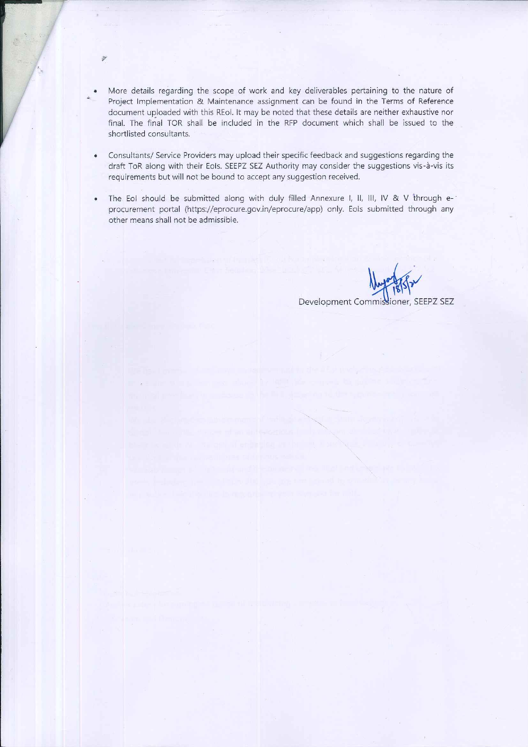More details regarding the scope of work and key deliverables pertaining to the nature of Project Implementation & Maintenance assignment can be found in the Terms of Reference document uploaded with this REoI. It may be noted that these details are neither exhaustive nor final. The final TOR shall be included in the RFP document which shall be issued to the shortlisted consultants.

渤

- Consultants/ Service Providers may upload their specific feedback and suggestions regarding the  $\bullet$ draft ToR along with their EoIs. SEEPZ SEZ Authority may consider the suggestions vis-à-vis its requirements but will not be bound to accept any suggestion received.
- The EoI should be submitted along with duly filled Annexure I, II, III, IV & V through e- $\bullet$ procurement portal (https://eprocure.gov.in/eprocure/app) only. Eols submitted through any other means shall not be admissible.

Development Commissioner, SEEPZ SEZ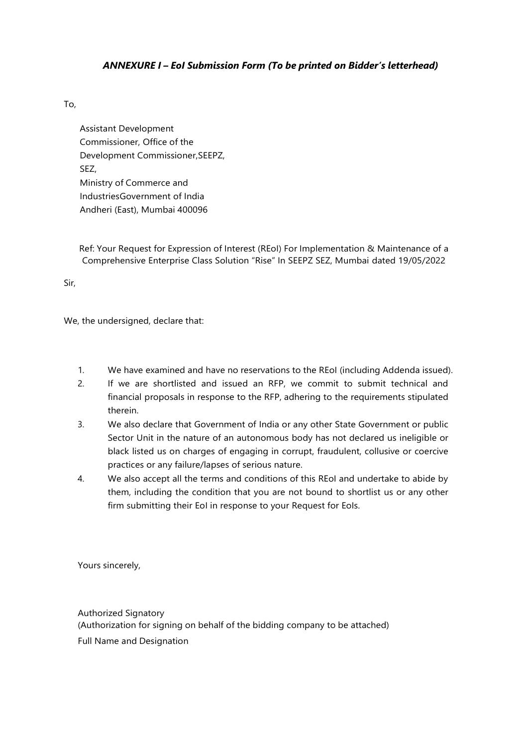### *ANNEXURE I – EoI Submission Form (To be printed on Bidder's letterhead)*

### To,

Assistant Development Commissioner, Office of the Development Commissioner,SEEPZ, SEZ, Ministry of Commerce and IndustriesGovernment of India Andheri (East), Mumbai 400096

Ref: Your Request for Expression of Interest (REoI) For Implementation & Maintenance of a Comprehensive Enterprise Class Solution "Rise" In SEEPZ SEZ, Mumbai dated 19/05/2022

Sir,

We, the undersigned, declare that:

- 1. We have examined and have no reservations to the REoI (including Addenda issued).
- 2. If we are shortlisted and issued an RFP, we commit to submit technical and financial proposals in response to the RFP, adhering to the requirements stipulated therein.
- 3. We also declare that Government of India or any other State Government or public Sector Unit in the nature of an autonomous body has not declared us ineligible or black listed us on charges of engaging in corrupt, fraudulent, collusive or coercive practices or any failure/lapses of serious nature.
- 4. We also accept all the terms and conditions of this REoI and undertake to abide by them, including the condition that you are not bound to shortlist us or any other firm submitting their EoI in response to your Request for EoIs.

Yours sincerely,

Authorized Signatory (Authorization for signing on behalf of the bidding company to be attached) Full Name and Designation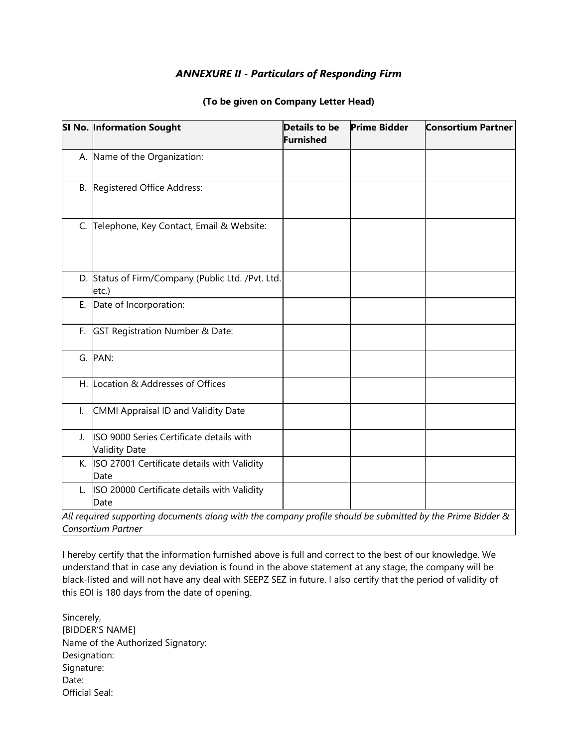## *ANNEXURE II - Particulars of Responding Firm*

|              | <b>SI No. Information Sought</b>                                                                                                 | <b>Details to be</b><br>Furnished | <b>Prime Bidder</b> | <b>Consortium Partner</b> |
|--------------|----------------------------------------------------------------------------------------------------------------------------------|-----------------------------------|---------------------|---------------------------|
|              | A. Name of the Organization:                                                                                                     |                                   |                     |                           |
|              | B. Registered Office Address:                                                                                                    |                                   |                     |                           |
|              | C. Telephone, Key Contact, Email & Website:                                                                                      |                                   |                     |                           |
|              | D. Status of Firm/Company (Public Ltd. /Pvt. Ltd.<br>etc.)                                                                       |                                   |                     |                           |
|              | E. Date of Incorporation:                                                                                                        |                                   |                     |                           |
|              | F. GST Registration Number & Date:                                                                                               |                                   |                     |                           |
|              | G. PAN:                                                                                                                          |                                   |                     |                           |
|              | H. Location & Addresses of Offices                                                                                               |                                   |                     |                           |
| $\mathsf{L}$ | CMMI Appraisal ID and Validity Date                                                                                              |                                   |                     |                           |
| $\mathbf{L}$ | ISO 9000 Series Certificate details with<br><b>Validity Date</b>                                                                 |                                   |                     |                           |
|              | K. ISO 27001 Certificate details with Validity<br>Date                                                                           |                                   |                     |                           |
| L.           | ISO 20000 Certificate details with Validity<br>Date                                                                              |                                   |                     |                           |
|              | All required supporting documents along with the company profile should be submitted by the Prime Bidder &<br>Consortium Partner |                                   |                     |                           |

#### **(To be given on Company Letter Head)**

I hereby certify that the information furnished above is full and correct to the best of our knowledge. We understand that in case any deviation is found in the above statement at any stage, the company will be black-listed and will not have any deal with SEEPZ SEZ in future. I also certify that the period of validity of this EOI is 180 days from the date of opening.

Sincerely, [BIDDER'S NAME] Name of the Authorized Signatory: Designation: Signature: Date: Official Seal: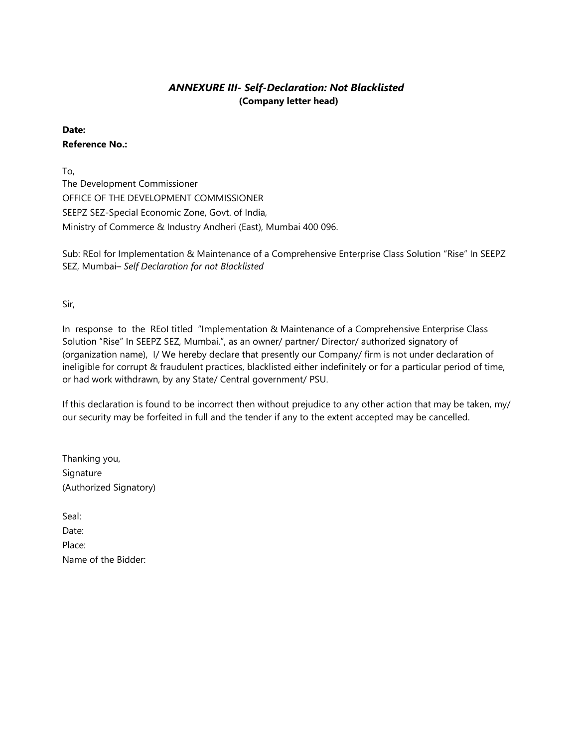### *ANNEXURE III- Self-Declaration: Not Blacklisted* **(Company letter head)**

### **Date:**

#### **Reference No.:**

To,

The Development Commissioner OFFICE OF THE DEVELOPMENT COMMISSIONER SEEPZ SEZ-Special Economic Zone, Govt. of India, Ministry of Commerce & Industry Andheri (East), Mumbai 400 096.

Sub: REoI for Implementation & Maintenance of a Comprehensive Enterprise Class Solution "Rise" In SEEPZ SEZ, Mumbai– *Self Declaration for not Blacklisted*

Sir,

In response to the REoI titled "Implementation & Maintenance of a Comprehensive Enterprise Class Solution "Rise" In SEEPZ SEZ, Mumbai.", as an owner/ partner/ Director/ authorized signatory of (organization name), I/ We hereby declare that presently our Company/ firm is not under declaration of ineligible for corrupt & fraudulent practices, blacklisted either indefinitely or for a particular period of time, or had work withdrawn, by any State/ Central government/ PSU.

If this declaration is found to be incorrect then without prejudice to any other action that may be taken, my/ our security may be forfeited in full and the tender if any to the extent accepted may be cancelled.

| Thanking you,          |
|------------------------|
| Signature              |
| (Authorized Signatory) |

| Seal:               |
|---------------------|
| Date:               |
| Place:              |
| Name of the Bidder: |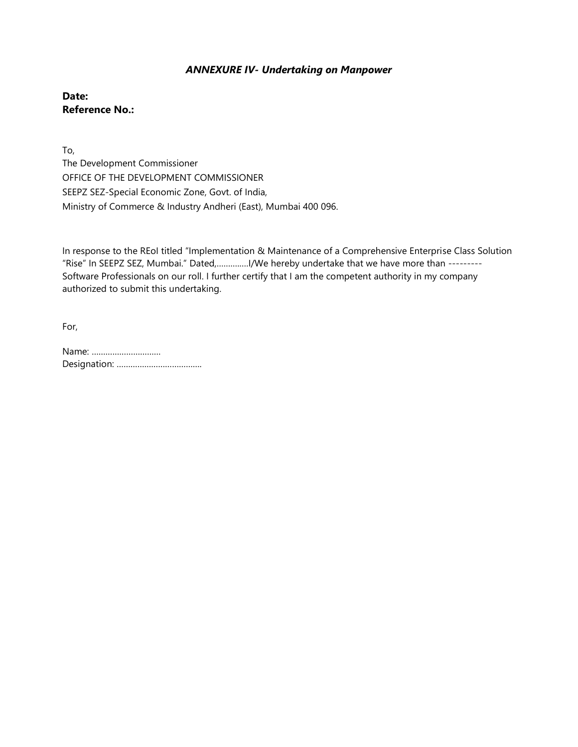### *ANNEXURE IV- Undertaking on Manpower*

**Date: Reference No.:**

To, The Development Commissioner OFFICE OF THE DEVELOPMENT COMMISSIONER SEEPZ SEZ-Special Economic Zone, Govt. of India, Ministry of Commerce & Industry Andheri (East), Mumbai 400 096.

In response to the REoI titled "Implementation & Maintenance of a Comprehensive Enterprise Class Solution "Rise" In SEEPZ SEZ, Mumbai." Dated,……….….I/We hereby undertake that we have more than --------- Software Professionals on our roll. I further certify that I am the competent authority in my company authorized to submit this undertaking.

For,

| Name: |
|-------|
|       |